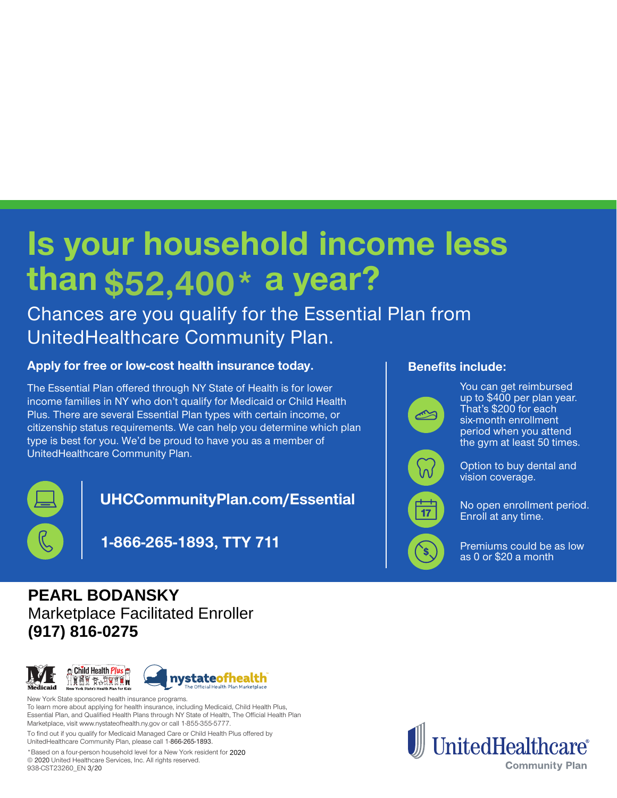## **Is your household income less** than \$52,400\* a year?

Chances are you qualify for the Essential Plan from UnitedHealthcare Community Plan.

## Apply for free or low-cost health insurance today.

The Essential Plan offered through NY State of Health is for lower income families in NY who don't qualify for Medicaid or Child Health Plus. There are several Essential Plan types with certain income, or citizenship status requirements. We can help you determine which plan type is best for you. We'd be proud to have you as a member of UnitedHealthcare Community Plan.



**UHCCommunityPlan.com/Essential** 

**711 TTY 1-866-265-1893,**

# **PEARL BODANSKY**<br> **Marketplace Facilitated Enroller**<br> **917) 816-0275**<br> **PEARL ENROITE:**<br> **PEARL ENROITED FACILITY STATE Of Independent CONSTAND The Official Health Plan Market<br>
New York State sponsored health insurance pro**



New York State sponsored health insurance programs. To learn more about applying for health insurance, including Medicaid, Child Health Plus, Essential Plan, and Qualified Health Plans through NY State of Health, The Official Health Plan Marketplace, visit www.nystateofhealth.ny.gov or call 1-855-355-5777.

To find out if you qualify for Medicaid Managed Care or Child Health Plus offered by UnitedHealthcare Community Plan, please call 1-866-265-1893.

\*Based on a four-person household level for a New York resident for 2020 @ 2020 United Healthcare Services, Inc. All rights reserved. 938-CST23260\_EN 3/20

### **Benefits include:**



You can get reimbursed up to  $$400$  per plan year. That's \$200 for each six-month enrollment period when you attend the gym at least 50 times.



Option to buy dental and vision coverage.

No open enrollment period. Enroll at any time.

Premiums could be as low as  $0$  or \$20 a month